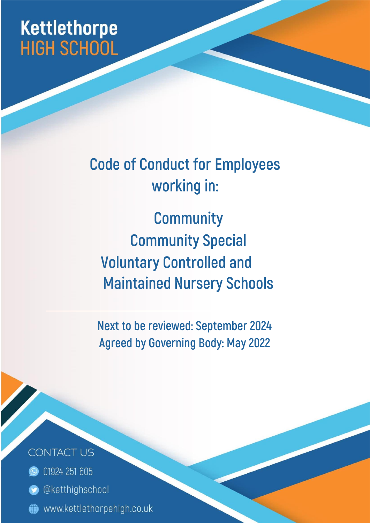# **Kettlethorpe HIGH SCHOOL**

**Code of Conduct for Employees** working in:

**Community Community Special Voluntary Controlled and Maintained Nursery Schools** 

Next to be reviewed: September 2024 **Agreed by Governing Body: May 2022** 

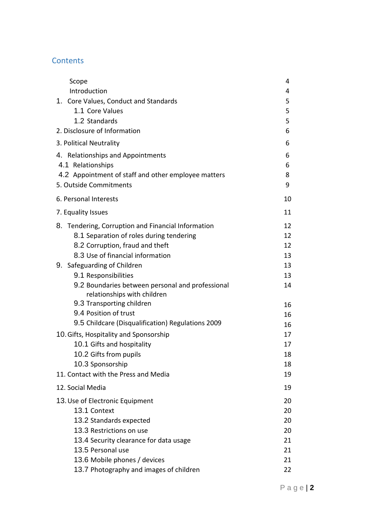# **Contents**

| Scope                                                                           | 4  |
|---------------------------------------------------------------------------------|----|
| Introduction                                                                    | 4  |
| 1. Core Values, Conduct and Standards                                           | 5  |
| 1.1 Core Values                                                                 | 5  |
| 1.2 Standards                                                                   | 5  |
| 2. Disclosure of Information                                                    | 6  |
| 3. Political Neutrality                                                         | 6  |
| 4. Relationships and Appointments                                               | 6  |
| 4.1 Relationships                                                               | 6  |
| 4.2 Appointment of staff and other employee matters                             | 8  |
| 5. Outside Commitments                                                          | 9  |
| 6. Personal Interests                                                           | 10 |
| 7. Equality Issues                                                              | 11 |
| 8. Tendering, Corruption and Financial Information                              | 12 |
| 8.1 Separation of roles during tendering                                        | 12 |
| 8.2 Corruption, fraud and theft                                                 | 12 |
| 8.3 Use of financial information                                                | 13 |
| 9. Safeguarding of Children                                                     | 13 |
| 9.1 Responsibilities                                                            | 13 |
| 9.2 Boundaries between personal and professional<br>relationships with children | 14 |
| 9.3 Transporting children                                                       | 16 |
| 9.4 Position of trust                                                           | 16 |
| 9.5 Childcare (Disqualification) Regulations 2009                               | 16 |
| 10. Gifts, Hospitality and Sponsorship                                          | 17 |
| 10.1 Gifts and hospitality                                                      | 17 |
| 10.2 Gifts from pupils                                                          | 18 |
| 10.3 Sponsorship                                                                | 18 |
| 11. Contact with the Press and Media                                            | 19 |
| 12. Social Media                                                                | 19 |
| 13. Use of Electronic Equipment                                                 | 20 |
| 13.1 Context                                                                    | 20 |
| 13.2 Standards expected                                                         | 20 |
| 13.3 Restrictions on use                                                        | 20 |
| 13.4 Security clearance for data usage                                          | 21 |
| 13.5 Personal use                                                               | 21 |
| 13.6 Mobile phones / devices                                                    | 21 |
| 13.7 Photography and images of children                                         | 22 |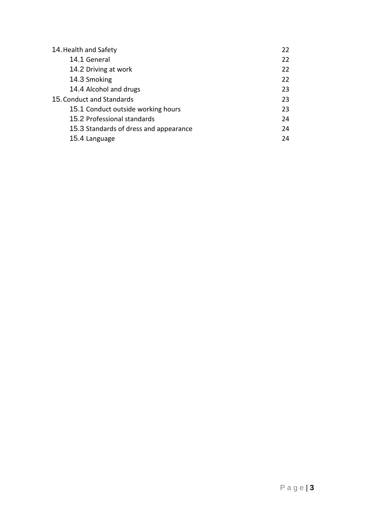| 14. Health and Safety                  | 22 |
|----------------------------------------|----|
| 14.1 General                           | 22 |
| 14.2 Driving at work                   | 22 |
| 14.3 Smoking                           | 22 |
| 14.4 Alcohol and drugs                 | 23 |
| 15. Conduct and Standards              | 23 |
| 15.1 Conduct outside working hours     | 23 |
| 15.2 Professional standards            | 24 |
| 15.3 Standards of dress and appearance | 24 |
| 15.4 Language                          | 24 |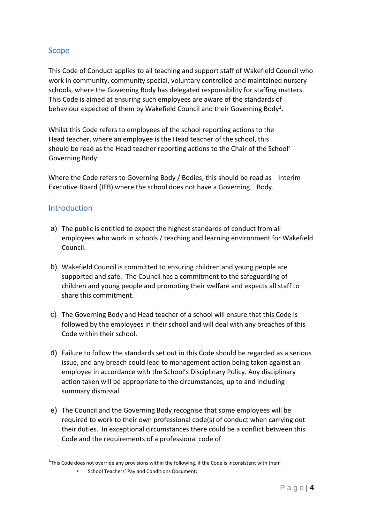# Scope

This Code of Conduct applies to all teaching and support staff of Wakefield Council who work in community, community special, voluntary controlled and maintained nursery schools, where the Governing Body has delegated responsibility for staffing matters. This Code is aimed at ensuring such employees are aware of the standards of behaviour expected of them by Wakefield Council and their Governing Body<sup>1</sup>.

Whilst this Code refers to employees of the school reporting actions to the Head teacher, where an employee is the Head teacher of the school, this should be read as the Head teacher reporting actions to the Chair of the School' Governing Body.

Where the Code refers to Governing Body / Bodies, this should be read as Interim Executive Board (IEB) where the school does not have a Governing Body.

## **Introduction**

- a) The public is entitled to expect the highest standards of conduct from all employees who work in schools / teaching and learning environment for Wakefield Council.
- b) Wakefield Council is committed to ensuring children and young people are supported and safe. The Council has a commitment to the safeguarding of children and young people and promoting their welfare and expects all staff to share this commitment.
- c) The Governing Body and Head teacher of a school will ensure that this Code is followed by the employees in their school and will deal with any breaches of this Code within their school.
- d) Failure to follow the standards set out in this Code should be regarded as a serious issue, and any breach could lead to management action being taken against an employee in accordance with the School's Disciplinary Policy. Any disciplinary action taken will be appropriate to the circumstances, up to and including summary dismissal.
- e) The Council and the Governing Body recognise that some employees will be required to work to their own professional code(s) of conduct when carrying out their duties. In exceptional circumstances there could be a conflict between this Code and the requirements of a professional code of

 $1$ This Code does not override any provisions within the following, if the Code is inconsistent with them

School Teachers' Pay and Conditions Document;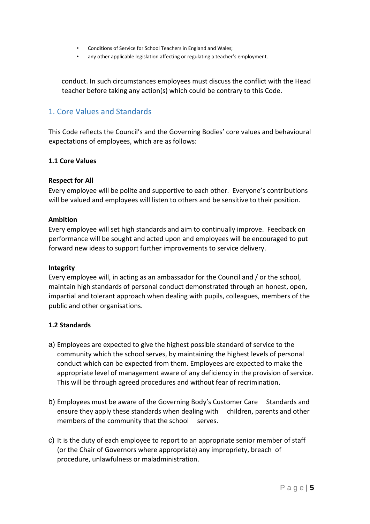- Conditions of Service for School Teachers in England and Wales;
- any other applicable legislation affecting or regulating a teacher's employment.

conduct. In such circumstances employees must discuss the conflict with the Head teacher before taking any action(s) which could be contrary to this Code.

## 1. Core Values and Standards

This Code reflects the Council's and the Governing Bodies' core values and behavioural expectations of employees, which are as follows:

#### **1.1 Core Values**

#### **Respect for All**

Every employee will be polite and supportive to each other. Everyone's contributions will be valued and employees will listen to others and be sensitive to their position.

#### **Ambition**

Every employee will set high standards and aim to continually improve. Feedback on performance will be sought and acted upon and employees will be encouraged to put forward new ideas to support further improvements to service delivery.

#### **Integrity**

Every employee will, in acting as an ambassador for the Council and / or the school, maintain high standards of personal conduct demonstrated through an honest, open, impartial and tolerant approach when dealing with pupils, colleagues, members of the public and other organisations.

## **1.2 Standards**

- a) Employees are expected to give the highest possible standard of service to the community which the school serves, by maintaining the highest levels of personal conduct which can be expected from them. Employees are expected to make the appropriate level of management aware of any deficiency in the provision of service. This will be through agreed procedures and without fear of recrimination.
- b) Employees must be aware of the Governing Body's Customer Care Standards and ensure they apply these standards when dealing with children, parents and other members of the community that the school serves.
- c) It is the duty of each employee to report to an appropriate senior member of staff (or the Chair of Governors where appropriate) any impropriety, breach of procedure, unlawfulness or maladministration.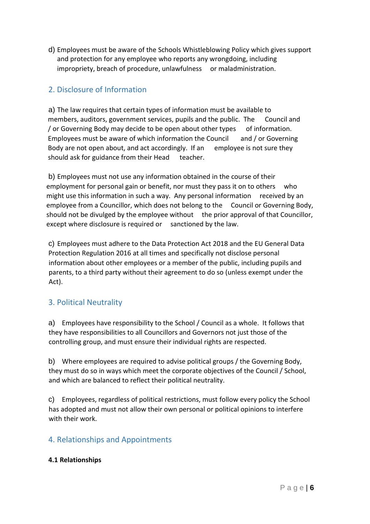d) Employees must be aware of the Schools Whistleblowing Policy which gives support and protection for any employee who reports any wrongdoing, including impropriety, breach of procedure, unlawfulness or maladministration.

# 2. Disclosure of Information

a) The law requires that certain types of information must be available to members, auditors, government services, pupils and the public. The Council and / or Governing Body may decide to be open about other types of information. Employees must be aware of which information the Council and  $/$  or Governing Body are not open about, and act accordingly. If an employee is not sure they should ask for guidance from their Head teacher.

b) Employees must not use any information obtained in the course of their employment for personal gain or benefit, nor must they pass it on to others who might use this information in such a way. Any personal information received by an employee from a Councillor, which does not belong to the Council or Governing Body, should not be divulged by the employee without the prior approval of that Councillor, except where disclosure is required or sanctioned by the law.

c) Employees must adhere to the Data Protection Act 2018 and the EU General Data Protection Regulation 2016 at all times and specifically not disclose personal information about other employees or a member of the public, including pupils and parents, to a third party without their agreement to do so (unless exempt under the Act).

# 3. Political Neutrality

a) Employees have responsibility to the School / Council as a whole. It follows that they have responsibilities to all Councillors and Governors not just those of the controlling group, and must ensure their individual rights are respected.

b) Where employees are required to advise political groups / the Governing Body, they must do so in ways which meet the corporate objectives of the Council / School, and which are balanced to reflect their political neutrality.

c) Employees, regardless of political restrictions, must follow every policy the School has adopted and must not allow their own personal or political opinions to interfere with their work.

## 4. Relationships and Appointments

## **4.1 Relationships**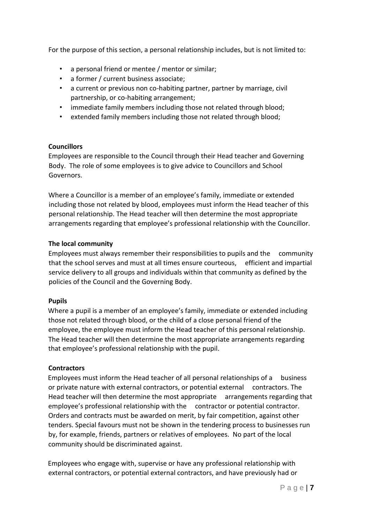For the purpose of this section, a personal relationship includes, but is not limited to:

- a personal friend or mentee / mentor or similar;
- a former / current business associate;
- a current or previous non co-habiting partner, partner by marriage, civil partnership, or co-habiting arrangement;
- immediate family members including those not related through blood;
- extended family members including those not related through blood;

#### **Councillors**

Employees are responsible to the Council through their Head teacher and Governing Body. The role of some employees is to give advice to Councillors and School Governors.

Where a Councillor is a member of an employee's family, immediate or extended including those not related by blood, employees must inform the Head teacher of this personal relationship. The Head teacher will then determine the most appropriate arrangements regarding that employee's professional relationship with the Councillor.

#### **The local community**

Employees must always remember their responsibilities to pupils and the community that the school serves and must at all times ensure courteous, efficient and impartial service delivery to all groups and individuals within that community as defined by the policies of the Council and the Governing Body.

#### **Pupils**

Where a pupil is a member of an employee's family, immediate or extended including those not related through blood, or the child of a close personal friend of the employee, the employee must inform the Head teacher of this personal relationship. The Head teacher will then determine the most appropriate arrangements regarding that employee's professional relationship with the pupil.

## **Contractors**

Employees must inform the Head teacher of all personal relationships of a business or private nature with external contractors, or potential external contractors. The Head teacher will then determine the most appropriate arrangements regarding that employee's professional relationship with the contractor or potential contractor. Orders and contracts must be awarded on merit, by fair competition, against other tenders. Special favours must not be shown in the tendering process to businesses run by, for example, friends, partners or relatives of employees. No part of the local community should be discriminated against.

Employees who engage with, supervise or have any professional relationship with external contractors, or potential external contractors, and have previously had or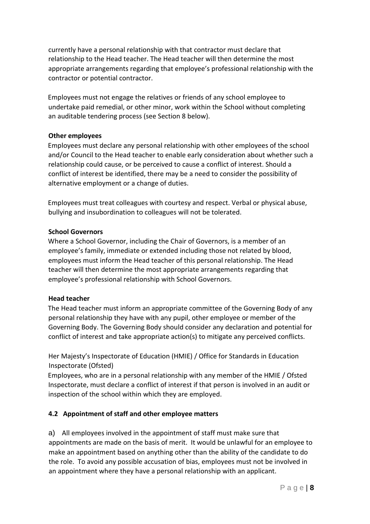currently have a personal relationship with that contractor must declare that relationship to the Head teacher. The Head teacher will then determine the most appropriate arrangements regarding that employee's professional relationship with the contractor or potential contractor.

Employees must not engage the relatives or friends of any school employee to undertake paid remedial, or other minor, work within the School without completing an auditable tendering process (see Section 8 below).

#### **Other employees**

Employees must declare any personal relationship with other employees of the school and/or Council to the Head teacher to enable early consideration about whether such a relationship could cause, or be perceived to cause a conflict of interest. Should a conflict of interest be identified, there may be a need to consider the possibility of alternative employment or a change of duties.

Employees must treat colleagues with courtesy and respect. Verbal or physical abuse, bullying and insubordination to colleagues will not be tolerated.

#### **School Governors**

Where a School Governor, including the Chair of Governors, is a member of an employee's family, immediate or extended including those not related by blood, employees must inform the Head teacher of this personal relationship. The Head teacher will then determine the most appropriate arrangements regarding that employee's professional relationship with School Governors.

## **Head teacher**

The Head teacher must inform an appropriate committee of the Governing Body of any personal relationship they have with any pupil, other employee or member of the Governing Body. The Governing Body should consider any declaration and potential for conflict of interest and take appropriate action(s) to mitigate any perceived conflicts.

Her Majesty's Inspectorate of Education (HMIE) / Office for Standards in Education Inspectorate (Ofsted)

Employees, who are in a personal relationship with any member of the HMIE / Ofsted Inspectorate, must declare a conflict of interest if that person is involved in an audit or inspection of the school within which they are employed.

## **4.2 Appointment of staff and other employee matters**

a) All employees involved in the appointment of staff must make sure that appointments are made on the basis of merit. It would be unlawful for an employee to make an appointment based on anything other than the ability of the candidate to do the role. To avoid any possible accusation of bias, employees must not be involved in an appointment where they have a personal relationship with an applicant.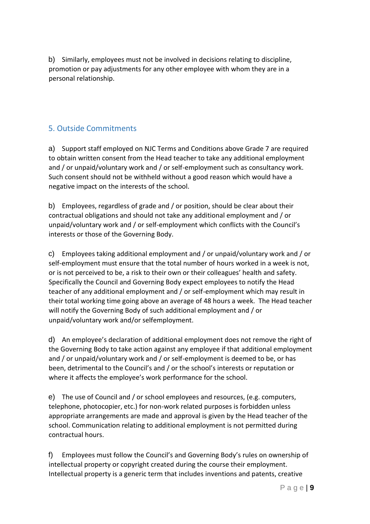b) Similarly, employees must not be involved in decisions relating to discipline, promotion or pay adjustments for any other employee with whom they are in a personal relationship.

# 5. Outside Commitments

a) Support staff employed on NJC Terms and Conditions above Grade 7 are required to obtain written consent from the Head teacher to take any additional employment and / or unpaid/voluntary work and / or self-employment such as consultancy work. Such consent should not be withheld without a good reason which would have a negative impact on the interests of the school.

b) Employees, regardless of grade and / or position, should be clear about their contractual obligations and should not take any additional employment and / or unpaid/voluntary work and / or self-employment which conflicts with the Council's interests or those of the Governing Body.

c) Employees taking additional employment and / or unpaid/voluntary work and / or self-employment must ensure that the total number of hours worked in a week is not, or is not perceived to be, a risk to their own or their colleagues' health and safety. Specifically the Council and Governing Body expect employees to notify the Head teacher of any additional employment and / or self-employment which may result in their total working time going above an average of 48 hours a week. The Head teacher will notify the Governing Body of such additional employment and / or unpaid/voluntary work and/or selfemployment.

d) An employee's declaration of additional employment does not remove the right of the Governing Body to take action against any employee if that additional employment and / or unpaid/voluntary work and / or self-employment is deemed to be, or has been, detrimental to the Council's and / or the school's interests or reputation or where it affects the employee's work performance for the school.

e) The use of Council and / or school employees and resources, (e.g. computers, telephone, photocopier, etc.) for non-work related purposes is forbidden unless appropriate arrangements are made and approval is given by the Head teacher of the school. Communication relating to additional employment is not permitted during contractual hours.

f) Employees must follow the Council's and Governing Body's rules on ownership of intellectual property or copyright created during the course their employment. Intellectual property is a generic term that includes inventions and patents, creative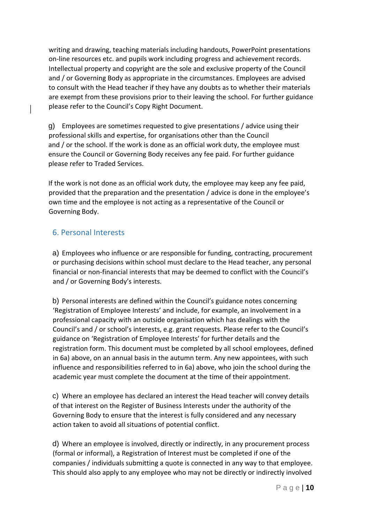writing and drawing, teaching materials including handouts, PowerPoint presentations on-line resources etc. and pupils work including progress and achievement records. Intellectual property and copyright are the sole and exclusive property of the Council and / or Governing Body as appropriate in the circumstances. Employees are advised to consult with the Head teacher if they have any doubts as to whether their materials are exempt from these provisions prior to their leaving the school. For further guidance please refer to the Council's Copy Right Document.

g) Employees are sometimes requested to give presentations / advice using their professional skills and expertise, for organisations other than the Council and / or the school. If the work is done as an official work duty, the employee must ensure the Council or Governing Body receives any fee paid. For further guidance please refer to Traded Services.

If the work is not done as an official work duty, the employee may keep any fee paid, provided that the preparation and the presentation / advice is done in the employee's own time and the employee is not acting as a representative of the Council or Governing Body.

# 6. Personal Interests

a) Employees who influence or are responsible for funding, contracting, procurement or purchasing decisions within school must declare to the Head teacher, any personal financial or non-financial interests that may be deemed to conflict with the Council's and / or Governing Body's interests.

b) Personal interests are defined within the Council's guidance notes concerning 'Registration of Employee Interests' and include, for example, an involvement in a professional capacity with an outside organisation which has dealings with the Council's and / or school's interests, e.g. grant requests. Please refer to the Council's guidance on 'Registration of Employee Interests' for further details and the registration form. This document must be completed by all school employees, defined in 6a) above, on an annual basis in the autumn term. Any new appointees, with such influence and responsibilities referred to in 6a) above, who join the school during the academic year must complete the document at the time of their appointment.

c) Where an employee has declared an interest the Head teacher will convey details of that interest on the Register of Business Interests under the authority of the Governing Body to ensure that the interest is fully considered and any necessary action taken to avoid all situations of potential conflict.

d) Where an employee is involved, directly or indirectly, in any procurement process (formal or informal), a Registration of Interest must be completed if one of the companies / individuals submitting a quote is connected in any way to that employee. This should also apply to any employee who may not be directly or indirectly involved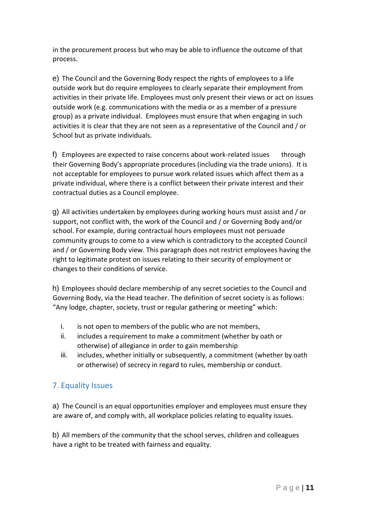in the procurement process but who may be able to influence the outcome of that process.

e) The Council and the Governing Body respect the rights of employees to a life outside work but do require employees to clearly separate their employment from activities in their private life. Employees must only present their views or act on issues outside work (e.g. communications with the media or as a member of a pressure group) as a private individual. Employees must ensure that when engaging in such activities it is clear that they are not seen as a representative of the Council and / or School but as private individuals.

f) Employees are expected to raise concerns about work-related issues through their Governing Body's appropriate procedures (including via the trade unions). It is not acceptable for employees to pursue work related issues which affect them as a private individual, where there is a conflict between their private interest and their contractual duties as a Council employee.

g) All activities undertaken by employees during working hours must assist and / or support, not conflict with, the work of the Council and / or Governing Body and/or school. For example, during contractual hours employees must not persuade community groups to come to a view which is contradictory to the accepted Council and / or Governing Body view. This paragraph does not restrict employees having the right to legitimate protest on issues relating to their security of employment or changes to their conditions of service.

h) Employees should declare membership of any secret societies to the Council and Governing Body, via the Head teacher. The definition of secret society is as follows: "Any lodge, chapter, society, trust or regular gathering or meeting" which:

- i. is not open to members of the public who are not members,
- ii. includes a requirement to make a commitment (whether by oath or otherwise) of allegiance in order to gain membership
- iii. includes, whether initially or subsequently, a commitment (whether by oath or otherwise) of secrecy in regard to rules, membership or conduct.

# 7. Equality Issues

a) The Council is an equal opportunities employer and employees must ensure they are aware of, and comply with, all workplace policies relating to equality issues.

b) All members of the community that the school serves, children and colleagues have a right to be treated with fairness and equality.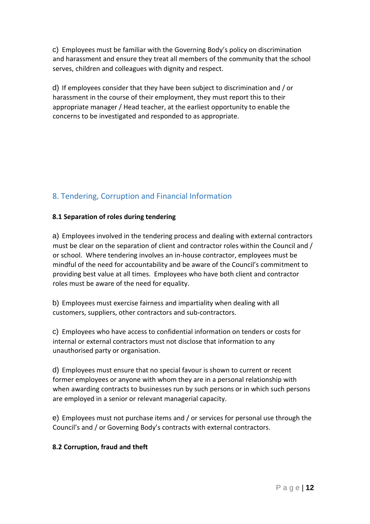c) Employees must be familiar with the Governing Body's policy on discrimination and harassment and ensure they treat all members of the community that the school serves, children and colleagues with dignity and respect.

d) If employees consider that they have been subject to discrimination and / or harassment in the course of their employment, they must report this to their appropriate manager / Head teacher, at the earliest opportunity to enable the concerns to be investigated and responded to as appropriate.

# 8. Tendering, Corruption and Financial Information

## **8.1 Separation of roles during tendering**

a) Employees involved in the tendering process and dealing with external contractors must be clear on the separation of client and contractor roles within the Council and / or school. Where tendering involves an in-house contractor, employees must be mindful of the need for accountability and be aware of the Council's commitment to providing best value at all times. Employees who have both client and contractor roles must be aware of the need for equality.

b) Employees must exercise fairness and impartiality when dealing with all customers, suppliers, other contractors and sub-contractors.

c) Employees who have access to confidential information on tenders or costs for internal or external contractors must not disclose that information to any unauthorised party or organisation.

d) Employees must ensure that no special favour is shown to current or recent former employees or anyone with whom they are in a personal relationship with when awarding contracts to businesses run by such persons or in which such persons are employed in a senior or relevant managerial capacity.

e) Employees must not purchase items and / or services for personal use through the Council's and / or Governing Body's contracts with external contractors.

## **8.2 Corruption, fraud and theft**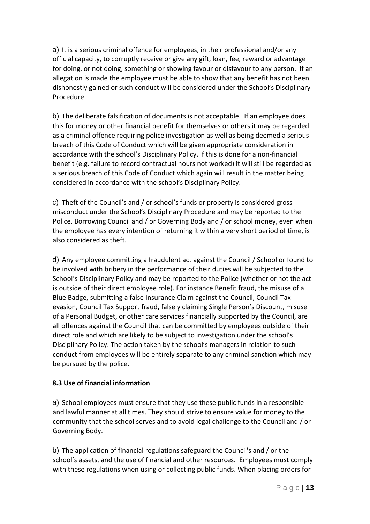a) It is a serious criminal offence for employees, in their professional and/or any official capacity, to corruptly receive or give any gift, loan, fee, reward or advantage for doing, or not doing, something or showing favour or disfavour to any person. If an allegation is made the employee must be able to show that any benefit has not been dishonestly gained or such conduct will be considered under the School's Disciplinary Procedure.

b) The deliberate falsification of documents is not acceptable. If an employee does this for money or other financial benefit for themselves or others it may be regarded as a criminal offence requiring police investigation as well as being deemed a serious breach of this Code of Conduct which will be given appropriate consideration in accordance with the school's Disciplinary Policy. If this is done for a non-financial benefit (e.g. failure to record contractual hours not worked) it will still be regarded as a serious breach of this Code of Conduct which again will result in the matter being considered in accordance with the school's Disciplinary Policy.

c) Theft of the Council's and / or school's funds or property is considered gross misconduct under the School's Disciplinary Procedure and may be reported to the Police. Borrowing Council and / or Governing Body and / or school money, even when the employee has every intention of returning it within a very short period of time, is also considered as theft.

d) Any employee committing a fraudulent act against the Council / School or found to be involved with bribery in the performance of their duties will be subjected to the School's Disciplinary Policy and may be reported to the Police (whether or not the act is outside of their direct employee role). For instance Benefit fraud, the misuse of a Blue Badge, submitting a false Insurance Claim against the Council, Council Tax evasion, Council Tax Support fraud, falsely claiming Single Person's Discount, misuse of a Personal Budget, or other care services financially supported by the Council, are all offences against the Council that can be committed by employees outside of their direct role and which are likely to be subject to investigation under the school's Disciplinary Policy. The action taken by the school's managers in relation to such conduct from employees will be entirely separate to any criminal sanction which may be pursued by the police.

## **8.3 Use of financial information**

a) School employees must ensure that they use these public funds in a responsible and lawful manner at all times. They should strive to ensure value for money to the community that the school serves and to avoid legal challenge to the Council and / or Governing Body.

b) The application of financial regulations safeguard the Council's and / or the school's assets, and the use of financial and other resources. Employees must comply with these regulations when using or collecting public funds. When placing orders for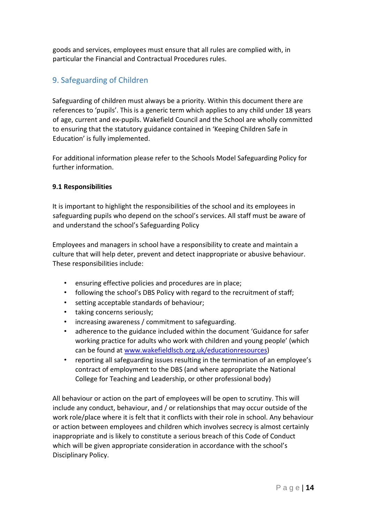goods and services, employees must ensure that all rules are complied with, in particular the Financial and Contractual Procedures rules.

# 9. Safeguarding of Children

Safeguarding of children must always be a priority. Within this document there are references to 'pupils'. This is a generic term which applies to any child under 18 years of age, current and ex-pupils. Wakefield Council and the School are wholly committed to ensuring that the statutory guidance contained in 'Keeping Children Safe in Education' is fully implemented.

For additional information please refer to the Schools Model Safeguarding Policy for further information.

## **9.1 Responsibilities**

It is important to highlight the responsibilities of the school and its employees in safeguarding pupils who depend on the school's services. All staff must be aware of and understand the school's Safeguarding Policy

Employees and managers in school have a responsibility to create and maintain a culture that will help deter, prevent and detect inappropriate or abusive behaviour. These responsibilities include:

- ensuring effective policies and procedures are in place;
- following the school's DBS Policy with regard to the recruitment of staff;
- setting acceptable standards of behaviour;
- taking concerns seriously;
- increasing awareness / commitment to safeguarding.
- adherence to the guidance included within the document 'Guidance for safer working practice for adults who work with children and young people' (which can be found at [www.wakefieldlscb.org.uk/educationresources\)](http://www.wakefieldlscb.org.uk/education-resources)
- reporting all safeguarding issues resulting in the termination of an employee's contract of employment to the DBS (and where appropriate the National College for Teaching and Leadership, or other professional body)

All behaviour or action on the part of employees will be open to scrutiny. This will include any conduct, behaviour, and / or relationships that may occur outside of the work role/place where it is felt that it conflicts with their role in school. Any behaviour or action between employees and children which involves secrecy is almost certainly inappropriate and is likely to constitute a serious breach of this Code of Conduct which will be given appropriate consideration in accordance with the school's Disciplinary Policy.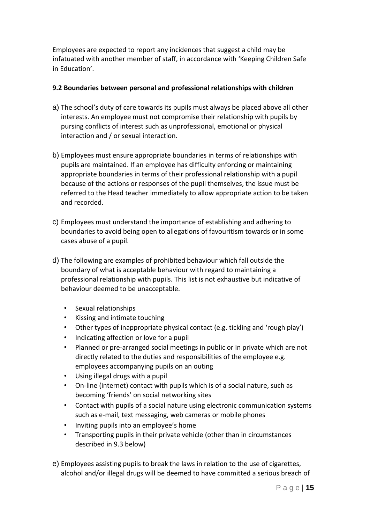Employees are expected to report any incidences that suggest a child may be infatuated with another member of staff, in accordance with 'Keeping Children Safe in Education'.

#### **9.2 Boundaries between personal and professional relationships with children**

- a) The school's duty of care towards its pupils must always be placed above all other interests. An employee must not compromise their relationship with pupils by pursing conflicts of interest such as unprofessional, emotional or physical interaction and / or sexual interaction.
- b) Employees must ensure appropriate boundaries in terms of relationships with pupils are maintained. If an employee has difficulty enforcing or maintaining appropriate boundaries in terms of their professional relationship with a pupil because of the actions or responses of the pupil themselves, the issue must be referred to the Head teacher immediately to allow appropriate action to be taken and recorded.
- c) Employees must understand the importance of establishing and adhering to boundaries to avoid being open to allegations of favouritism towards or in some cases abuse of a pupil.
- d) The following are examples of prohibited behaviour which fall outside the boundary of what is acceptable behaviour with regard to maintaining a professional relationship with pupils. This list is not exhaustive but indicative of behaviour deemed to be unacceptable.
	- Sexual relationships
	- Kissing and intimate touching
	- Other types of inappropriate physical contact (e.g. tickling and 'rough play')
	- Indicating affection or love for a pupil
	- Planned or pre-arranged social meetings in public or in private which are not directly related to the duties and responsibilities of the employee e.g. employees accompanying pupils on an outing
	- Using illegal drugs with a pupil
	- On-line (internet) contact with pupils which is of a social nature, such as becoming 'friends' on social networking sites
	- Contact with pupils of a social nature using electronic communication systems such as e-mail, text messaging, web cameras or mobile phones
	- Inviting pupils into an employee's home
	- Transporting pupils in their private vehicle (other than in circumstances described in 9.3 below)
- e) Employees assisting pupils to break the laws in relation to the use of cigarettes, alcohol and/or illegal drugs will be deemed to have committed a serious breach of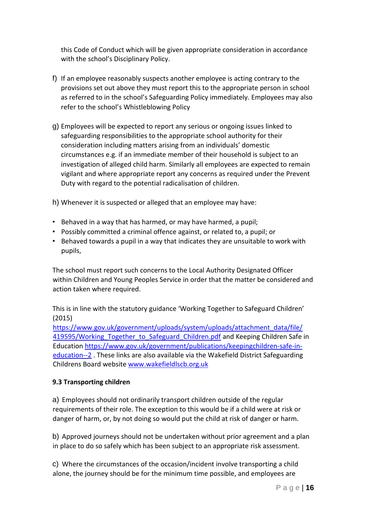this Code of Conduct which will be given appropriate consideration in accordance with the school's Disciplinary Policy.

- f) If an employee reasonably suspects another employee is acting contrary to the provisions set out above they must report this to the appropriate person in school as referred to in the school's Safeguarding Policy immediately. Employees may also refer to the school's Whistleblowing Policy
- g) Employees will be expected to report any serious or ongoing issues linked to safeguarding responsibilities to the appropriate school authority for their consideration including matters arising from an individuals' domestic circumstances e.g. if an immediate member of their household is subject to an investigation of alleged child harm. Similarly all employees are expected to remain vigilant and where appropriate report any concerns as required under the Prevent Duty with regard to the potential radicalisation of children.

h) Whenever it is suspected or alleged that an employee may have:

- Behaved in a way that has harmed, or may have harmed, a pupil;
- Possibly committed a criminal offence against, or related to, a pupil; or
- Behaved towards a pupil in a way that indicates they are unsuitable to work with pupils,

The school must report such concerns to the Local Authority Designated Officer within Children and Young Peoples Service in order that the matter be considered and action taken where required.

This is in line with the statutory guidance 'Working Together to Safeguard Children' (2015)

[https://www.gov.uk/government/uploads/system/uploads/attachment\\_data/file/](https://www.gov.uk/government/uploads/system/uploads/attachment_data/file/419595/Working_Together_to_Safeguard_Children.pdf)  419595/Working Together to Safeguard Children.pdf and Keeping Children Safe in Education [https://www.gov.uk/government/publications/keepingchildren-safe-in](https://www.gov.uk/government/publications/keeping-children-safe-in-education--2)[education--2](https://www.gov.uk/government/publications/keeping-children-safe-in-education--2) . These links are also available via the Wakefield District Safeguarding Childrens Board website [www.wakefieldlscb.org.uk](http://www.wakefieldlscb.org.uk/)

#### **9.3 Transporting children**

a) Employees should not ordinarily transport children outside of the regular requirements of their role. The exception to this would be if a child were at risk or danger of harm, or, by not doing so would put the child at risk of danger or harm.

b) Approved journeys should not be undertaken without prior agreement and a plan in place to do so safely which has been subject to an appropriate risk assessment.

c) Where the circumstances of the occasion/incident involve transporting a child alone, the journey should be for the minimum time possible, and employees are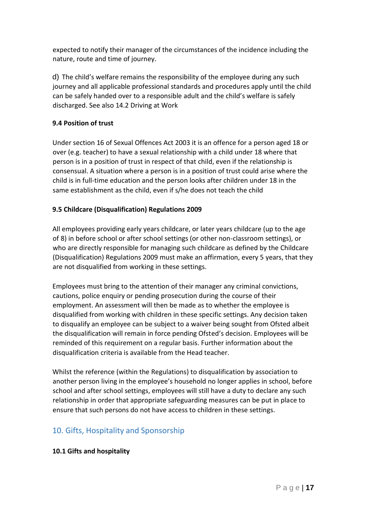expected to notify their manager of the circumstances of the incidence including the nature, route and time of journey.

d) The child's welfare remains the responsibility of the employee during any such journey and all applicable professional standards and procedures apply until the child can be safely handed over to a responsible adult and the child's welfare is safely discharged. See also 14.2 Driving at Work

## **9.4 Position of trust**

Under section 16 of Sexual Offences Act 2003 it is an offence for a person aged 18 or over (e.g. teacher) to have a sexual relationship with a child under 18 where that person is in a position of trust in respect of that child, even if the relationship is consensual. A situation where a person is in a position of trust could arise where the child is in full-time education and the person looks after children under 18 in the same establishment as the child, even if s/he does not teach the child

## **9.5 Childcare (Disqualification) Regulations 2009**

All employees providing early years childcare, or later years childcare (up to the age of 8) in before school or after school settings (or other non-classroom settings), or who are directly responsible for managing such childcare as defined by the Childcare (Disqualification) Regulations 2009 must make an affirmation, every 5 years, that they are not disqualified from working in these settings.

Employees must bring to the attention of their manager any criminal convictions, cautions, police enquiry or pending prosecution during the course of their employment. An assessment will then be made as to whether the employee is disqualified from working with children in these specific settings. Any decision taken to disqualify an employee can be subject to a waiver being sought from Ofsted albeit the disqualification will remain in force pending Ofsted's decision. Employees will be reminded of this requirement on a regular basis. Further information about the disqualification criteria is available from the Head teacher.

Whilst the reference (within the Regulations) to disqualification by association to another person living in the employee's household no longer applies in school, before school and after school settings, employees will still have a duty to declare any such relationship in order that appropriate safeguarding measures can be put in place to ensure that such persons do not have access to children in these settings.

# 10. Gifts, Hospitality and Sponsorship

## **10.1 Gifts and hospitality**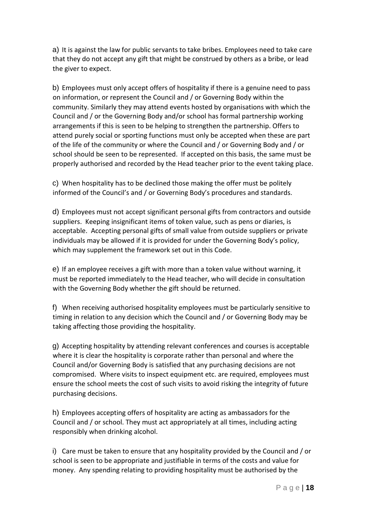a) It is against the law for public servants to take bribes. Employees need to take care that they do not accept any gift that might be construed by others as a bribe, or lead the giver to expect.

b) Employees must only accept offers of hospitality if there is a genuine need to pass on information, or represent the Council and / or Governing Body within the community. Similarly they may attend events hosted by organisations with which the Council and / or the Governing Body and/or school has formal partnership working arrangements if this is seen to be helping to strengthen the partnership. Offers to attend purely social or sporting functions must only be accepted when these are part of the life of the community or where the Council and / or Governing Body and / or school should be seen to be represented. If accepted on this basis, the same must be properly authorised and recorded by the Head teacher prior to the event taking place.

c) When hospitality has to be declined those making the offer must be politely informed of the Council's and / or Governing Body's procedures and standards.

d) Employees must not accept significant personal gifts from contractors and outside suppliers. Keeping insignificant items of token value, such as pens or diaries, is acceptable. Accepting personal gifts of small value from outside suppliers or private individuals may be allowed if it is provided for under the Governing Body's policy, which may supplement the framework set out in this Code.

e) If an employee receives a gift with more than a token value without warning, it must be reported immediately to the Head teacher, who will decide in consultation with the Governing Body whether the gift should be returned.

f) When receiving authorised hospitality employees must be particularly sensitive to timing in relation to any decision which the Council and / or Governing Body may be taking affecting those providing the hospitality.

g) Accepting hospitality by attending relevant conferences and courses is acceptable where it is clear the hospitality is corporate rather than personal and where the Council and/or Governing Body is satisfied that any purchasing decisions are not compromised. Where visits to inspect equipment etc. are required, employees must ensure the school meets the cost of such visits to avoid risking the integrity of future purchasing decisions.

h) Employees accepting offers of hospitality are acting as ambassadors for the Council and / or school. They must act appropriately at all times, including acting responsibly when drinking alcohol.

i) Care must be taken to ensure that any hospitality provided by the Council and / or school is seen to be appropriate and justifiable in terms of the costs and value for money. Any spending relating to providing hospitality must be authorised by the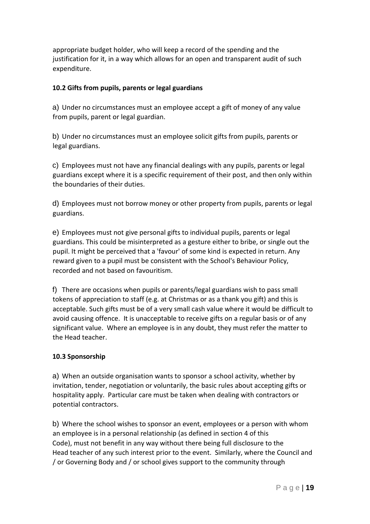appropriate budget holder, who will keep a record of the spending and the justification for it, in a way which allows for an open and transparent audit of such expenditure.

#### **10.2 Gifts from pupils, parents or legal guardians**

a) Under no circumstances must an employee accept a gift of money of any value from pupils, parent or legal guardian.

b) Under no circumstances must an employee solicit gifts from pupils, parents or legal guardians.

c) Employees must not have any financial dealings with any pupils, parents or legal guardians except where it is a specific requirement of their post, and then only within the boundaries of their duties.

d) Employees must not borrow money or other property from pupils, parents or legal guardians.

e) Employees must not give personal gifts to individual pupils, parents or legal guardians. This could be misinterpreted as a gesture either to bribe, or single out the pupil. It might be perceived that a 'favour' of some kind is expected in return. Any reward given to a pupil must be consistent with the School's Behaviour Policy, recorded and not based on favouritism.

f) There are occasions when pupils or parents/legal guardians wish to pass small tokens of appreciation to staff (e.g. at Christmas or as a thank you gift) and this is acceptable. Such gifts must be of a very small cash value where it would be difficult to avoid causing offence. It is unacceptable to receive gifts on a regular basis or of any significant value. Where an employee is in any doubt, they must refer the matter to the Head teacher.

## **10.3 Sponsorship**

a) When an outside organisation wants to sponsor a school activity, whether by invitation, tender, negotiation or voluntarily, the basic rules about accepting gifts or hospitality apply. Particular care must be taken when dealing with contractors or potential contractors.

b) Where the school wishes to sponsor an event, employees or a person with whom an employee is in a personal relationship (as defined in section 4 of this Code), must not benefit in any way without there being full disclosure to the Head teacher of any such interest prior to the event. Similarly, where the Council and / or Governing Body and / or school gives support to the community through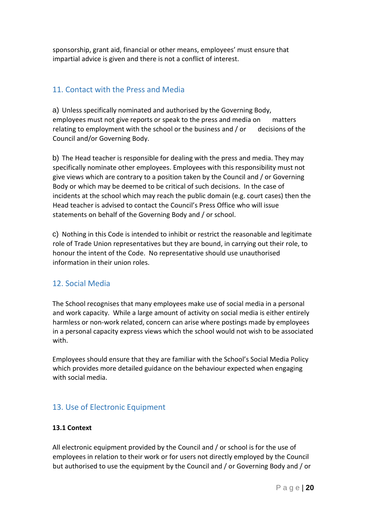sponsorship, grant aid, financial or other means, employees' must ensure that impartial advice is given and there is not a conflict of interest.

## 11. Contact with the Press and Media

a) Unless specifically nominated and authorised by the Governing Body, employees must not give reports or speak to the press and media on matters relating to employment with the school or the business and / or decisions of the Council and/or Governing Body.

b) The Head teacher is responsible for dealing with the press and media. They may specifically nominate other employees. Employees with this responsibility must not give views which are contrary to a position taken by the Council and / or Governing Body or which may be deemed to be critical of such decisions. In the case of incidents at the school which may reach the public domain (e.g. court cases) then the Head teacher is advised to contact the Council's Press Office who will issue statements on behalf of the Governing Body and / or school.

c) Nothing in this Code is intended to inhibit or restrict the reasonable and legitimate role of Trade Union representatives but they are bound, in carrying out their role, to honour the intent of the Code. No representative should use unauthorised information in their union roles.

# 12. Social Media

The School recognises that many employees make use of social media in a personal and work capacity. While a large amount of activity on social media is either entirely harmless or non-work related, concern can arise where postings made by employees in a personal capacity express views which the school would not wish to be associated with.

Employees should ensure that they are familiar with the School's Social Media Policy which provides more detailed guidance on the behaviour expected when engaging with social media.

# 13. Use of Electronic Equipment

## **13.1 Context**

All electronic equipment provided by the Council and / or school is for the use of employees in relation to their work or for users not directly employed by the Council but authorised to use the equipment by the Council and / or Governing Body and / or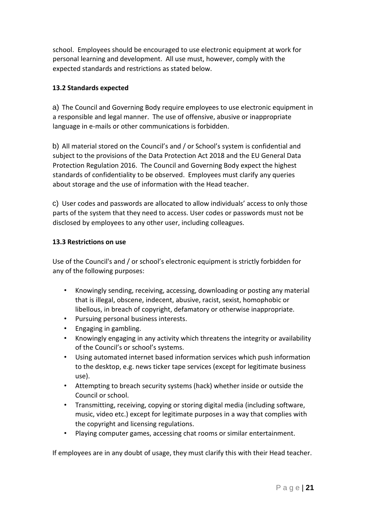school. Employees should be encouraged to use electronic equipment at work for personal learning and development. All use must, however, comply with the expected standards and restrictions as stated below.

## **13.2 Standards expected**

a) The Council and Governing Body require employees to use electronic equipment in a responsible and legal manner. The use of offensive, abusive or inappropriate language in e-mails or other communications is forbidden.

b) All material stored on the Council's and / or School's system is confidential and subject to the provisions of the Data Protection Act 2018 and the EU General Data Protection Regulation 2016. The Council and Governing Body expect the highest standards of confidentiality to be observed. Employees must clarify any queries about storage and the use of information with the Head teacher.

c) User codes and passwords are allocated to allow individuals' access to only those parts of the system that they need to access. User codes or passwords must not be disclosed by employees to any other user, including colleagues.

## **13.3 Restrictions on use**

Use of the Council's and / or school's electronic equipment is strictly forbidden for any of the following purposes:

- Knowingly sending, receiving, accessing, downloading or posting any material that is illegal, obscene, indecent, abusive, racist, sexist, homophobic or libellous, in breach of copyright, defamatory or otherwise inappropriate.
- Pursuing personal business interests.
- Engaging in gambling.
- Knowingly engaging in any activity which threatens the integrity or availability of the Council's or school's systems.
- Using automated internet based information services which push information to the desktop, e.g. news ticker tape services (except for legitimate business use).
- Attempting to breach security systems (hack) whether inside or outside the Council or school.
- Transmitting, receiving, copying or storing digital media (including software, music, video etc.) except for legitimate purposes in a way that complies with the copyright and licensing regulations.
- Playing computer games, accessing chat rooms or similar entertainment.

If employees are in any doubt of usage, they must clarify this with their Head teacher.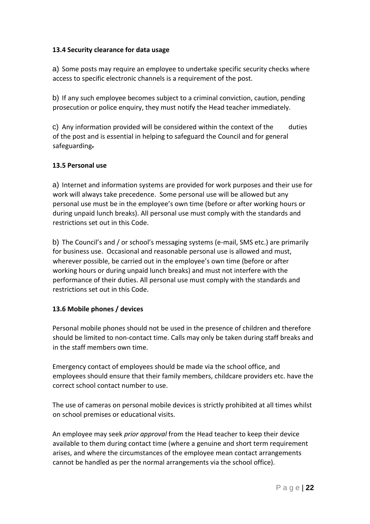## **13.4 Security clearance for data usage**

a) Some posts may require an employee to undertake specific security checks where access to specific electronic channels is a requirement of the post.

b) If any such employee becomes subject to a criminal conviction, caution, pending prosecution or police enquiry, they must notify the Head teacher immediately.

c) Any information provided will be considered within the context of the duties of the post and is essential in helping to safeguard the Council and for general safeguarding.

## **13.5 Personal use**

a) Internet and information systems are provided for work purposes and their use for work will always take precedence. Some personal use will be allowed but any personal use must be in the employee's own time (before or after working hours or during unpaid lunch breaks). All personal use must comply with the standards and restrictions set out in this Code.

b) The Council's and / or school's messaging systems (e-mail, SMS etc.) are primarily for business use. Occasional and reasonable personal use is allowed and must, wherever possible, be carried out in the employee's own time (before or after working hours or during unpaid lunch breaks) and must not interfere with the performance of their duties. All personal use must comply with the standards and restrictions set out in this Code.

## **13.6 Mobile phones / devices**

Personal mobile phones should not be used in the presence of children and therefore should be limited to non-contact time. Calls may only be taken during staff breaks and in the staff members own time.

Emergency contact of employees should be made via the school office, and employees should ensure that their family members, childcare providers etc. have the correct school contact number to use.

The use of cameras on personal mobile devices is strictly prohibited at all times whilst on school premises or educational visits.

An employee may seek *prior approval* from the Head teacher to keep their device available to them during contact time (where a genuine and short term requirement arises, and where the circumstances of the employee mean contact arrangements cannot be handled as per the normal arrangements via the school office).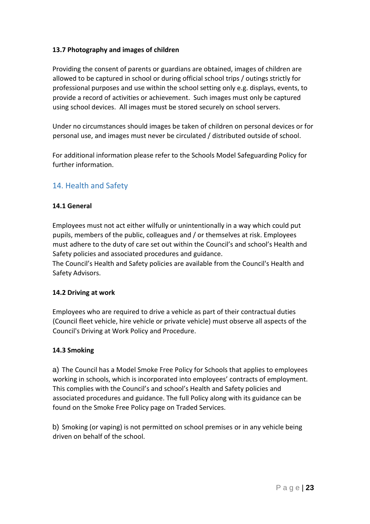## **13.7 Photography and images of children**

Providing the consent of parents or guardians are obtained, images of children are allowed to be captured in school or during official school trips / outings strictly for professional purposes and use within the school setting only e.g. displays, events, to provide a record of activities or achievement. Such images must only be captured using school devices. All images must be stored securely on school servers.

Under no circumstances should images be taken of children on personal devices or for personal use, and images must never be circulated / distributed outside of school.

For additional information please refer to the Schools Model Safeguarding Policy for further information.

# 14. Health and Safety

## **14.1 General**

Employees must not act either wilfully or unintentionally in a way which could put pupils, members of the public, colleagues and / or themselves at risk. Employees must adhere to the duty of care set out within the Council's and school's Health and Safety policies and associated procedures and guidance.

The Council's Health and Safety policies are available from the Council's Health and Safety Advisors.

#### **14.2 Driving at work**

Employees who are required to drive a vehicle as part of their contractual duties (Council fleet vehicle, hire vehicle or private vehicle) must observe all aspects of the Council's Driving at Work Policy and Procedure.

## **14.3 Smoking**

a) The Council has a Model Smoke Free Policy for Schools that applies to employees working in schools, which is incorporated into employees' contracts of employment. This complies with the Council's and school's Health and Safety policies and associated procedures and guidance. The full Policy along with its guidance can be found on the Smoke Free Policy page on Traded Services.

b) Smoking (or vaping) is not permitted on school premises or in any vehicle being driven on behalf of the school.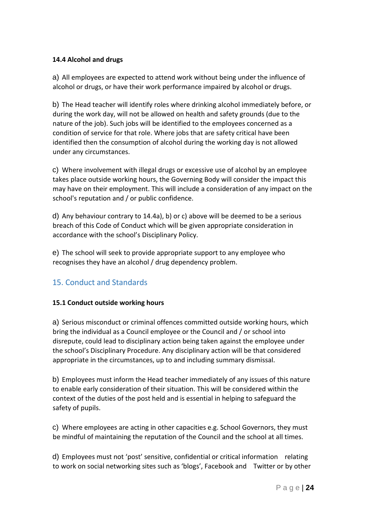## **14.4 Alcohol and drugs**

a) All employees are expected to attend work without being under the influence of alcohol or drugs, or have their work performance impaired by alcohol or drugs.

b) The Head teacher will identify roles where drinking alcohol immediately before, or during the work day, will not be allowed on health and safety grounds (due to the nature of the job). Such jobs will be identified to the employees concerned as a condition of service for that role. Where jobs that are safety critical have been identified then the consumption of alcohol during the working day is not allowed under any circumstances.

c) Where involvement with illegal drugs or excessive use of alcohol by an employee takes place outside working hours, the Governing Body will consider the impact this may have on their employment. This will include a consideration of any impact on the school's reputation and / or public confidence.

d) Any behaviour contrary to 14.4a), b) or c) above will be deemed to be a serious breach of this Code of Conduct which will be given appropriate consideration in accordance with the school's Disciplinary Policy.

e) The school will seek to provide appropriate support to any employee who recognises they have an alcohol / drug dependency problem.

# 15. Conduct and Standards

## **15.1 Conduct outside working hours**

a) Serious misconduct or criminal offences committed outside working hours, which bring the individual as a Council employee or the Council and / or school into disrepute, could lead to disciplinary action being taken against the employee under the school's Disciplinary Procedure. Any disciplinary action will be that considered appropriate in the circumstances, up to and including summary dismissal.

b) Employees must inform the Head teacher immediately of any issues of this nature to enable early consideration of their situation. This will be considered within the context of the duties of the post held and is essential in helping to safeguard the safety of pupils.

c) Where employees are acting in other capacities e.g. School Governors, they must be mindful of maintaining the reputation of the Council and the school at all times.

d) Employees must not 'post' sensitive, confidential or critical information relating to work on social networking sites such as 'blogs', Facebook and Twitter or by other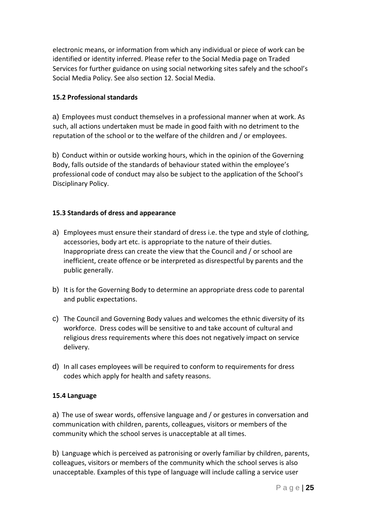electronic means, or information from which any individual or piece of work can be identified or identity inferred. Please refer to the Social Media page on Traded Services for further guidance on using social networking sites safely and the school's Social Media Policy. See also section 12. Social Media.

## **15.2 Professional standards**

a) Employees must conduct themselves in a professional manner when at work. As such, all actions undertaken must be made in good faith with no detriment to the reputation of the school or to the welfare of the children and / or employees.

b) Conduct within or outside working hours, which in the opinion of the Governing Body, falls outside of the standards of behaviour stated within the employee's professional code of conduct may also be subject to the application of the School's Disciplinary Policy.

## **15.3 Standards of dress and appearance**

- a) Employees must ensure their standard of dress i.e. the type and style of clothing, accessories, body art etc. is appropriate to the nature of their duties. Inappropriate dress can create the view that the Council and / or school are inefficient, create offence or be interpreted as disrespectful by parents and the public generally.
- b) It is for the Governing Body to determine an appropriate dress code to parental and public expectations.
- c) The Council and Governing Body values and welcomes the ethnic diversity of its workforce. Dress codes will be sensitive to and take account of cultural and religious dress requirements where this does not negatively impact on service delivery.
- d) In all cases employees will be required to conform to requirements for dress codes which apply for health and safety reasons.

## **15.4 Language**

a) The use of swear words, offensive language and / or gestures in conversation and communication with children, parents, colleagues, visitors or members of the community which the school serves is unacceptable at all times.

b) Language which is perceived as patronising or overly familiar by children, parents, colleagues, visitors or members of the community which the school serves is also unacceptable. Examples of this type of language will include calling a service user